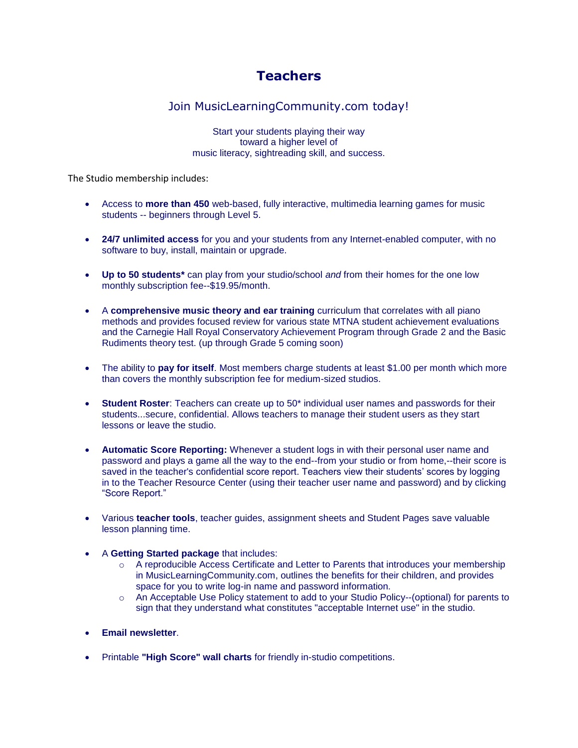## **Teachers**

## Join MusicLearningCommunity.com today!

Start your students playing their way toward a higher level of music literacy, sightreading skill, and success.

The Studio membership includes:

- Access to **more than 450** web-based, fully interactive, multimedia learning games for music students -- beginners through Level 5.
- **24/7 unlimited access** for you and your students from any Internet-enabled computer, with no software to buy, install, maintain or upgrade.
- **Up to 50 students\*** can play from your studio/school *and* from their homes for the one low monthly subscription fee--\$19.95/month.
- A **comprehensive music theory and ear training** curriculum that correlates with all piano methods and provides focused review for various state MTNA student achievement evaluations and the Carnegie Hall Royal Conservatory Achievement Program through Grade 2 and the Basic Rudiments theory test. (up through Grade 5 coming soon)
- The ability to **pay for itself**. Most members charge students at least \$1.00 per month which more than covers the monthly subscription fee for medium-sized studios.
- **Student Roster**: Teachers can create up to 50\* individual user names and passwords for their students...secure, confidential. Allows teachers to manage their student users as they start lessons or leave the studio.
- **Automatic Score Reporting:** Whenever a student logs in with their personal user name and password and plays a game all the way to the end--from your studio or from home,--their score is saved in the teacher's confidential score report. Teachers view their students' scores by logging in to the Teacher Resource Center (using their teacher user name and password) and by clicking "Score Report."
- Various **teacher tools**, teacher guides, assignment sheets and Student Pages save valuable lesson planning time.
- A **Getting Started package** that includes:
	- o A reproducible Access Certificate and Letter to Parents that introduces your membership in MusicLearningCommunity.com, outlines the benefits for their children, and provides space for you to write log-in name and password information.
	- o An Acceptable Use Policy statement to add to your Studio Policy--(optional) for parents to sign that they understand what constitutes "acceptable Internet use" in the studio.
- **Email newsletter**.
- Printable **"High Score" wall charts** for friendly in-studio competitions.